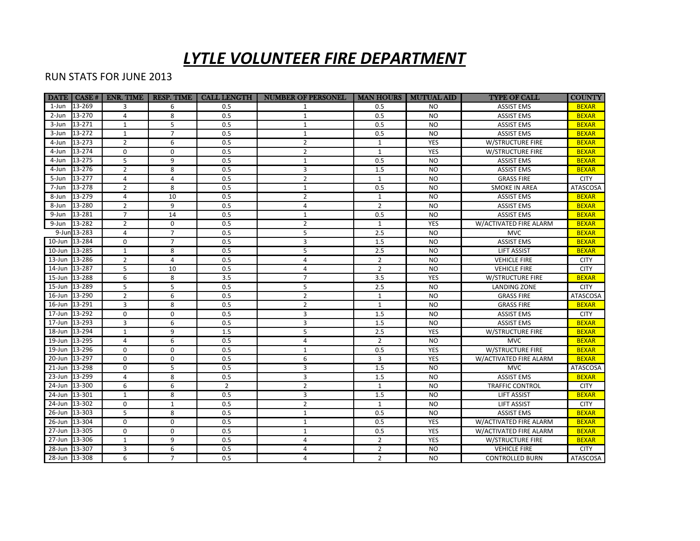## *LYTLE VOLUNTEER FIRE DEPARTMENT*

## RUN STATS FOR JUNE 2013

|               | <b>DATE</b>   CASE # | ENR. TIME      | <b>RESP. TIME</b> | CALL LENGTH    | <b>NUMBER OF PERSONEL</b> |                | <b>MAN HOURS   MUTUAL AID</b> | <b>TYPE OF CALL</b>     | <b>COUNTY</b>   |
|---------------|----------------------|----------------|-------------------|----------------|---------------------------|----------------|-------------------------------|-------------------------|-----------------|
| $1$ -Jun      | 13-269               | 3              | 6                 | 0.5            | 1                         | 0.5            | N <sub>O</sub>                | <b>ASSIST EMS</b>       | <b>BEXAR</b>    |
| 2-Jun         | 13-270               | 4              | 8                 | 0.5            | $\mathbf{1}$              | 0.5            | <b>NO</b>                     | <b>ASSIST EMS</b>       | <b>BEXAR</b>    |
| 3-Jun         | 13-271               | $\mathbf{1}$   | 5                 | 0.5            | $\mathbf{1}$              | 0.5            | <b>NO</b>                     | <b>ASSIST EMS</b>       | <b>BEXAR</b>    |
| 3-Jun         | $13 - 272$           | $\mathbf{1}$   | $\overline{7}$    | 0.5            | $\mathbf{1}$              | 0.5            | <b>NO</b>                     | <b>ASSIST EMS</b>       | <b>BEXAR</b>    |
| 4-Jun         | 13-273               | $\overline{2}$ | 6                 | 0.5            | $\overline{2}$            | $\mathbf{1}$   | <b>YES</b>                    | W/STRUCTURE FIRE        | <b>BEXAR</b>    |
| 4-Jun         | 13-274               | $\Omega$       | $\Omega$          | 0.5            | $\overline{2}$            | $\mathbf{1}$   | <b>YES</b>                    | W/STRUCTURE FIRE        | <b>BEXAR</b>    |
| 4-Jun         | $13 - 275$           | 5              | 9                 | 0.5            | $\mathbf{1}$              | 0.5            | <b>NO</b>                     | <b>ASSIST EMS</b>       | <b>BEXAR</b>    |
| 4-Jun         | 13-276               | $\overline{2}$ | 8                 | 0.5            | 3                         | 1.5            | <b>NO</b>                     | <b>ASSIST EMS</b>       | <b>BEXAR</b>    |
| 5-Jun         | 13-277               | 4              | 4                 | 0.5            | $\overline{2}$            | $\mathbf{1}$   | <b>NO</b>                     | <b>GRASS FIRE</b>       | <b>CITY</b>     |
| 7-Jun         | 13-278               | $\overline{2}$ | 8                 | 0.5            | $\mathbf{1}$              | 0.5            | <b>NO</b>                     | <b>SMOKE IN AREA</b>    | <b>ATASCOSA</b> |
| 8-Jun         | 13-279               | $\overline{4}$ | 10                | 0.5            | $\overline{2}$            | $\mathbf{1}$   | <b>NO</b>                     | <b>ASSIST EMS</b>       | <b>BEXAR</b>    |
| 8-Jun         | 13-280               | $\overline{2}$ | 9                 | 0.5            | $\overline{4}$            | $\overline{2}$ | <b>NO</b>                     | <b>ASSIST EMS</b>       | <b>BEXAR</b>    |
| 9-Jun         | 13-281               | $\overline{7}$ | 14                | 0.5            | $\mathbf{1}$              | 0.5            | <b>NO</b>                     | <b>ASSIST EMS</b>       | <b>BEXAR</b>    |
| 9-Jun         | 13-282               | $\overline{2}$ | $\Omega$          | 0.5            | $\overline{2}$            | $\mathbf{1}$   | <b>YES</b>                    | W/ACTIVATED FIRE ALARM  | <b>BEXAR</b>    |
|               | 9-Jun 13-283         | 4              | $\overline{7}$    | 0.5            | 5                         | 2.5            | N <sub>O</sub>                | <b>MVC</b>              | <b>BEXAR</b>    |
| 10-Jun 13-284 |                      | $\Omega$       | $\overline{7}$    | 0.5            | 3                         | 1.5            | N <sub>O</sub>                | <b>ASSIST EMS</b>       | <b>BEXAR</b>    |
| 10-Jun        | 13-285               | $\mathbf{1}$   | 8                 | 0.5            | 5                         | 2.5            | <b>NO</b>                     | <b>LIFT ASSIST</b>      | <b>BEXAR</b>    |
| 13-Jun 13-286 |                      | $\overline{2}$ | 4                 | 0.5            | $\overline{4}$            | $\overline{2}$ | <b>NO</b>                     | <b>VEHICLE FIRE</b>     | <b>CITY</b>     |
| $14$ -Jun     | 13-287               | 5              | 10                | 0.5            | $\overline{4}$            | $\overline{2}$ | N <sub>O</sub>                | <b>VEHICLE FIRE</b>     | <b>CITY</b>     |
| $15 - Jun$    | 13-288               | 6              | 8                 | 3.5            | $\overline{7}$            | 3.5            | <b>YES</b>                    | W/STRUCTURE FIRE        | <b>BEXAR</b>    |
| 15-Jun        | 13-289               | 5              | 5                 | 0.5            | 5                         | 2.5            | <b>NO</b>                     | LANDING ZONE            | <b>CITY</b>     |
| 16-Jun 13-290 |                      | $\overline{2}$ | 6                 | 0.5            | $\overline{2}$            | $\mathbf{1}$   | <b>NO</b>                     | <b>GRASS FIRE</b>       | <b>ATASCOSA</b> |
| $16$ -Jun     | 13-291               | 3              | 8                 | 0.5            | $\overline{2}$            | 1              | N <sub>O</sub>                | <b>GRASS FIRE</b>       | <b>BEXAR</b>    |
| 17-Jun        | 13-292               | $\mathbf 0$    | 0                 | 0.5            | $\overline{3}$            | 1.5            | <b>NO</b>                     | <b>ASSIST EMS</b>       | <b>CITY</b>     |
| 17-Jun        | 13-293               | 3              | 6                 | 0.5            | 3                         | 1.5            | <b>NO</b>                     | <b>ASSIST EMS</b>       | <b>BEXAR</b>    |
| 18-Jun        | 13-294               | 1              | 9                 | 1.5            | 5                         | 2.5            | YES                           | W/STRUCTURE FIRE        | <b>BEXAR</b>    |
| 19-Jun 13-295 |                      | 4              | 6                 | 0.5            | $\overline{4}$            | $\overline{2}$ | <b>NO</b>                     | <b>MVC</b>              | <b>BEXAR</b>    |
| 19-Jun 13-296 |                      | $\mathbf 0$    | $\Omega$          | 0.5            | $\mathbf{1}$              | 0.5            | <b>YES</b>                    | <b>W/STRUCTURE FIRE</b> | <b>BEXAR</b>    |
| 20-Jun        | 13-297               | $\Omega$       | $\Omega$          | 0.5            | 6                         | $\overline{3}$ | <b>YES</b>                    | W/ACTIVATED FIRE ALARM  | <b>BEXAR</b>    |
| 21-Jun 13-298 |                      | $\Omega$       | 5                 | 0.5            | 3                         | 1.5            | <b>NO</b>                     | <b>MVC</b>              | <b>ATASCOSA</b> |
| 23-Jun 13-299 |                      | 4              | 8                 | 0.5            | $\overline{3}$            | 1.5            | <b>NO</b>                     | <b>ASSIST EMS</b>       | <b>BEXAR</b>    |
| 24-Jun 13-300 |                      | 6              | 6                 | $\overline{2}$ | $\overline{2}$            | $\mathbf{1}$   | <b>NO</b>                     | <b>TRAFFIC CONTROL</b>  | <b>CITY</b>     |
| 24-Jun 13-301 |                      | $\mathbf{1}$   | 8                 | 0.5            | 3                         | 1.5            | N <sub>O</sub>                | <b>LIFT ASSIST</b>      | <b>BEXAR</b>    |
| 24-Jun        | 13-302               | $\mathbf 0$    | $\mathbf{1}$      | 0.5            | $\overline{2}$            | $\mathbf{1}$   | <b>NO</b>                     | <b>LIFT ASSIST</b>      | <b>CITY</b>     |
| $26$ -Jun     | 13-303               | 5              | 8                 | 0.5            | $\mathbf{1}$              | 0.5            | <b>NO</b>                     | <b>ASSIST EMS</b>       | <b>BEXAR</b>    |
| $26$ -Jun     | 13-304               | $\Omega$       | $\Omega$          | 0.5            | $\mathbf{1}$              | 0.5            | YES                           | W/ACTIVATED FIRE ALARM  | <b>BEXAR</b>    |
| $27 - Jun$    | 13-305               | $\Omega$       | 0                 | 0.5            | $\mathbf{1}$              | 0.5            | YES                           | W/ACTIVATED FIRE ALARM  | <b>BEXAR</b>    |
| $27 - Jun$    | 13-306               | 1              | 9                 | 0.5            | $\overline{4}$            | $\overline{2}$ | <b>YES</b>                    | W/STRUCTURE FIRE        | <b>BEXAR</b>    |
| $28 - Jun$    | 13-307               | 3              | 6                 | 0.5            | $\overline{4}$            | $\overline{2}$ | <b>NO</b>                     | <b>VEHICLE FIRE</b>     | <b>CITY</b>     |
| 28-Jun 13-308 |                      | 6              | $\overline{7}$    | 0.5            | $\overline{4}$            | $\overline{2}$ | NO                            | <b>CONTROLLED BURN</b>  | ATASCOSA        |